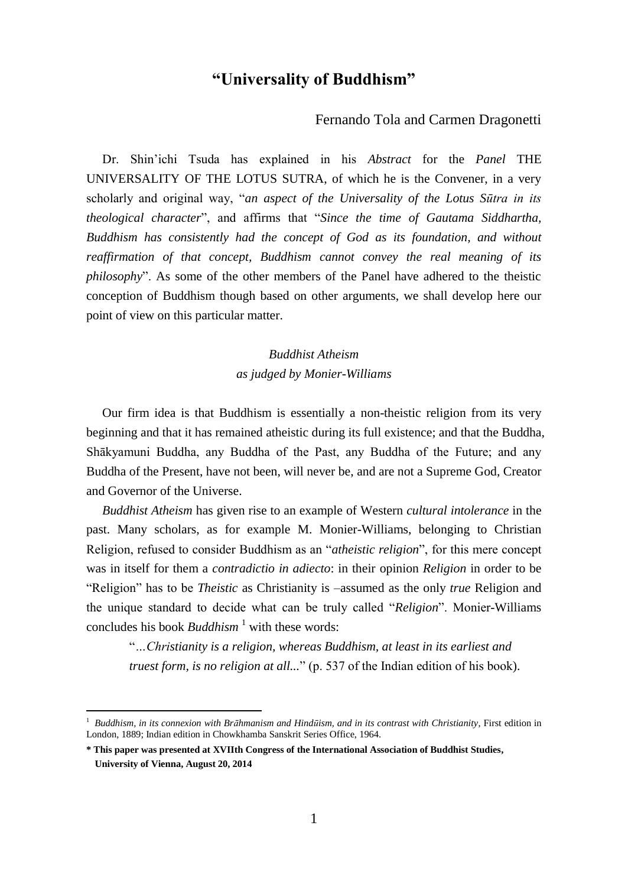# **"Universality of Buddhism"**

### Fernando Tola and Carmen Dragonetti

 Dr. Shin'ichi Tsuda has explained in his *Abstract* for the *Panel* THE UNIVERSALITY OF THE LOTUS SUTRA, of which he is the Convener, in a very scholarly and original way, "*an aspect of the Universality of the Lotus Sūtra in its theological character*", and affirms that "*Since the time of Gautama Siddhartha, Buddhism has consistently had the concept of God as its foundation, and without reaffirmation of that concept, Buddhism cannot convey the real meaning of its philosophy*". As some of the other members of the Panel have adhered to the theistic conception of Buddhism though based on other arguments, we shall develop here our point of view on this particular matter.

> *Buddhist Atheism as judged by Monier-Williams*

 Our firm idea is that Buddhism is essentially a non-theistic religion from its very beginning and that it has remained atheistic during its full existence; and that the Buddha, Shākyamuni Buddha, any Buddha of the Past, any Buddha of the Future; and any Buddha of the Present, have not been, will never be, and are not a Supreme God, Creator and Governor of the Universe.

 *Buddhist Atheism* has given rise to an example of Western *cultural intolerance* in the past. Many scholars, as for example M. Monier-Williams, belonging to Christian Religion, refused to consider Buddhism as an "*atheistic religion*", for this mere concept was in itself for them a *contradictio in adiecto*: in their opinion *Religion* in order to be "Religion" has to be *Theistic* as Christianity is –assumed as the only *true* Religion and the unique standard to decide what can be truly called "*Religion*". Monier-Williams concludes his book *Buddhism*<sup>1</sup> with these words:

"*…Christianity is a religion, whereas Buddhism, at least in its earliest and truest form, is no religion at all...*" (p. 537 of the Indian edition of his book).

<sup>&</sup>lt;sup>1</sup> Buddhism, in its connexion with Brāhmanism and Hindūism, and in its contrast with Christianity, First edition in London, 1889; Indian edition in Chowkhamba Sanskrit Series Office, 1964.

**<sup>\*</sup> This paper was presented at XVIIth Congress of the International Association of Buddhist Studies, University of Vienna, August 20, 2014**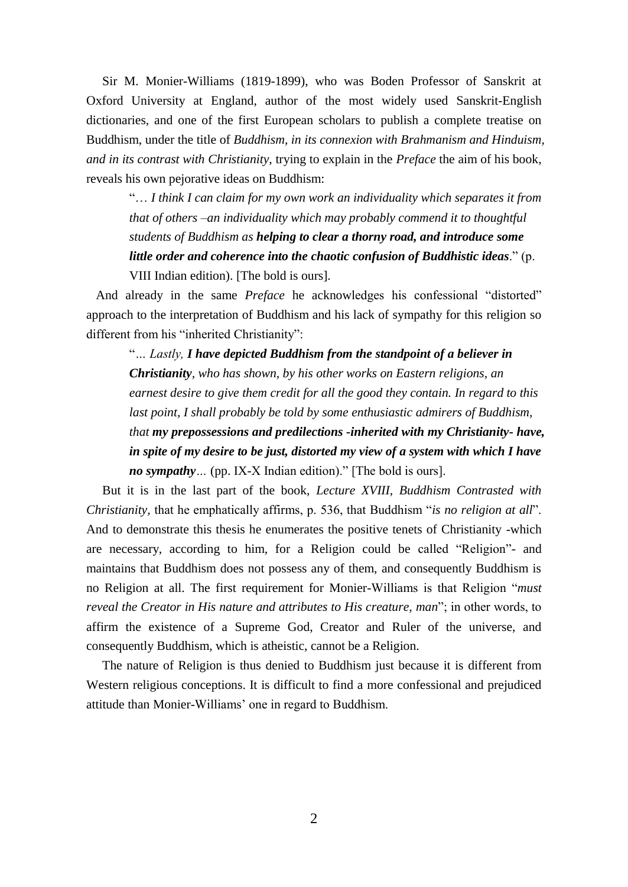Sir M. Monier-Williams (1819-1899), who was Boden Professor of Sanskrit at Oxford University at England, author of the most widely used Sanskrit-English dictionaries, and one of the first European scholars to publish a complete treatise on Buddhism, under the title of *Buddhism, in its connexion with Brahmanism and Hinduism, and in its contrast with Christianity*, trying to explain in the *Preface* the aim of his book, reveals his own pejorative ideas on Buddhism:

"… *I think I can claim for my own work an individuality which separates it from that of others –an individuality which may probably commend it to thoughtful students of Buddhism as helping to clear a thorny road, and introduce some little order and coherence into the chaotic confusion of Buddhistic ideas*." (p. VIII Indian edition). [The bold is ours].

 And already in the same *Preface* he acknowledges his confessional "distorted" approach to the interpretation of Buddhism and his lack of sympathy for this religion so different from his "inherited Christianity":

"*… Lastly, I have depicted Buddhism from the standpoint of a believer in Christianity, who has shown, by his other works on Eastern religions, an earnest desire to give them credit for all the good they contain. In regard to this last point, I shall probably be told by some enthusiastic admirers of Buddhism, that my prepossessions and predilections -inherited with my Christianity- have, in spite of my desire to be just, distorted my view of a system with which I have no sympathy…* (pp. IX-X Indian edition)." [The bold is ours].

 But it is in the last part of the book, *Lecture XVIII, Buddhism Contrasted with Christianity,* that he emphatically affirms, p. 536, that Buddhism "*is no religion at all*". And to demonstrate this thesis he enumerates the positive tenets of Christianity -which are necessary, according to him, for a Religion could be called "Religion"- and maintains that Buddhism does not possess any of them, and consequently Buddhism is no Religion at all. The first requirement for Monier-Williams is that Religion "*must reveal the Creator in His nature and attributes to His creature, man*"; in other words, to affirm the existence of a Supreme God, Creator and Ruler of the universe, and consequently Buddhism, which is atheistic, cannot be a Religion.

 The nature of Religion is thus denied to Buddhism just because it is different from Western religious conceptions. It is difficult to find a more confessional and prejudiced attitude than Monier-Williams' one in regard to Buddhism.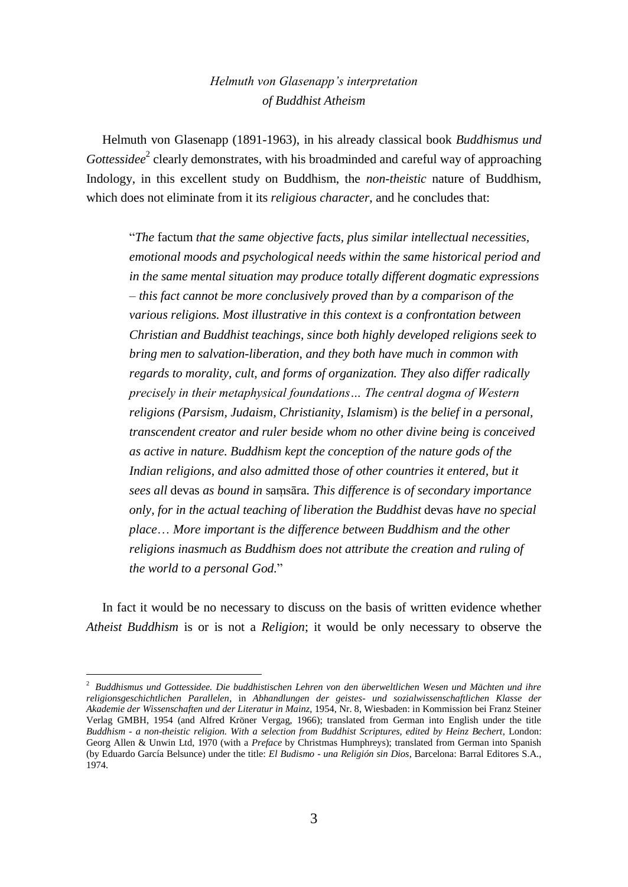## *Helmuth von Glasenapp's interpretation of Buddhist Atheism*

 Helmuth von Glasenapp (1891-1963), in his already classical book *Buddhismus und*  Gottessidee<sup>2</sup> clearly demonstrates, with his broadminded and careful way of approaching Indology, in this excellent study on Buddhism, the *non-theistic* nature of Buddhism, which does not eliminate from it its *religious character*, and he concludes that:

"*The* factum *that the same objective facts, plus similar intellectual necessities, emotional moods and psychological needs within the same historical period and in the same mental situation may produce totally different dogmatic expressions – this fact cannot be more conclusively proved than by a comparison of the various religions. Most illustrative in this context is a confrontation between Christian and Buddhist teachings, since both highly developed religions seek to bring men to salvation-liberation, and they both have much in common with regards to morality, cult, and forms of organization. They also differ radically precisely in their metaphysical foundations… The central dogma of Western religions (Parsism, Judaism, Christianity, Islamism*) *is the belief in a personal, transcendent creator and ruler beside whom no other divine being is conceived as active in nature. Buddhism kept the conception of the nature gods of the*  Indian religions, and also admitted those of other countries it entered, but it *sees all* devas *as bound in* saṃsāra*. This difference is of secondary importance only, for in the actual teaching of liberation the Buddhist* devas *have no special place*… *More important is the difference between Buddhism and the other religions inasmuch as Buddhism does not attribute the creation and ruling of the world to a personal God.*"

 In fact it would be no necessary to discuss on the basis of written evidence whether *Atheist Buddhism* is or is not a *Religion*; it would be only necessary to observe the

<sup>2</sup> *Buddhismus und Gottessidee. Die buddhistischen Lehren von den überweltlichen Wesen und Mächten und ihre religionsgeschichtlichen Parallelen*, in *Abhandlungen der geistes- und sozialwissenschaftlichen Klasse der Akademie der Wissenschaften und der Literatur in Mainz*, 1954, Nr. 8, Wiesbaden: in Kommission bei Franz Steiner Verlag GMBH, 1954 (and Alfred Kröner Vergag, 1966); translated from German into English under the title *Buddhism - a non-theistic religion. With a selection from Buddhist Scriptures, edited by Heinz Bechert*, London: Georg Allen & Unwin Ltd, 1970 (with a *Preface* by Christmas Humphreys); translated from German into Spanish (by Eduardo García Belsunce) under the title: *El Budismo - una Religión sin Dios*, Barcelona: Barral Editores S.A., 1974.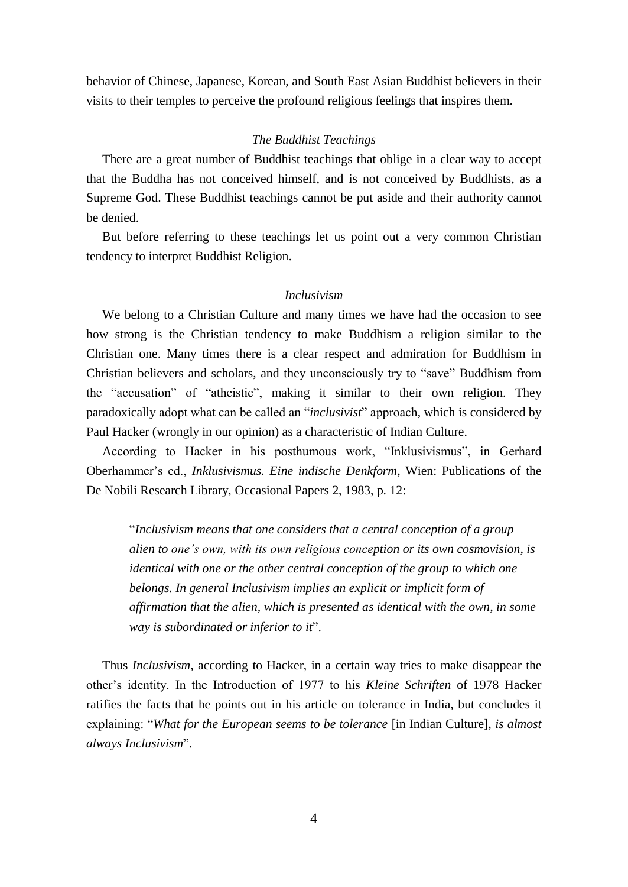behavior of Chinese, Japanese, Korean, and South East Asian Buddhist believers in their visits to their temples to perceive the profound religious feelings that inspires them.

#### *The Buddhist Teachings*

 There are a great number of Buddhist teachings that oblige in a clear way to accept that the Buddha has not conceived himself, and is not conceived by Buddhists, as a Supreme God. These Buddhist teachings cannot be put aside and their authority cannot be denied.

 But before referring to these teachings let us point out a very common Christian tendency to interpret Buddhist Religion.

### *Inclusivism*

 We belong to a Christian Culture and many times we have had the occasion to see how strong is the Christian tendency to make Buddhism a religion similar to the Christian one. Many times there is a clear respect and admiration for Buddhism in Christian believers and scholars, and they unconsciously try to "save" Buddhism from the "accusation" of "atheistic", making it similar to their own religion. They paradoxically adopt what can be called an "*inclusivist*" approach, which is considered by Paul Hacker (wrongly in our opinion) as a characteristic of Indian Culture.

 According to Hacker in his posthumous work, "Inklusivismus", in Gerhard Oberhammer's ed., *Inklusivismus. Eine indische Denkform*, Wien: Publications of the De Nobili Research Library, Occasional Papers 2, 1983, p. 12:

"*Inclusivism means that one considers that a central conception of a group alien to one's own, with its own religious conception or its own cosmovision, is identical with one or the other central conception of the group to which one belongs. In general Inclusivism implies an explicit or implicit form of affirmation that the alien, which is presented as identical with the own, in some way is subordinated or inferior to it*".

 Thus *Inclusivism*, according to Hacker, in a certain way tries to make disappear the other's identity. In the Introduction of 1977 to his *Kleine Schriften* of 1978 Hacker ratifies the facts that he points out in his article on tolerance in India, but concludes it explaining: "*What for the European seems to be tolerance* [in Indian Culture]*, is almost always Inclusivism*".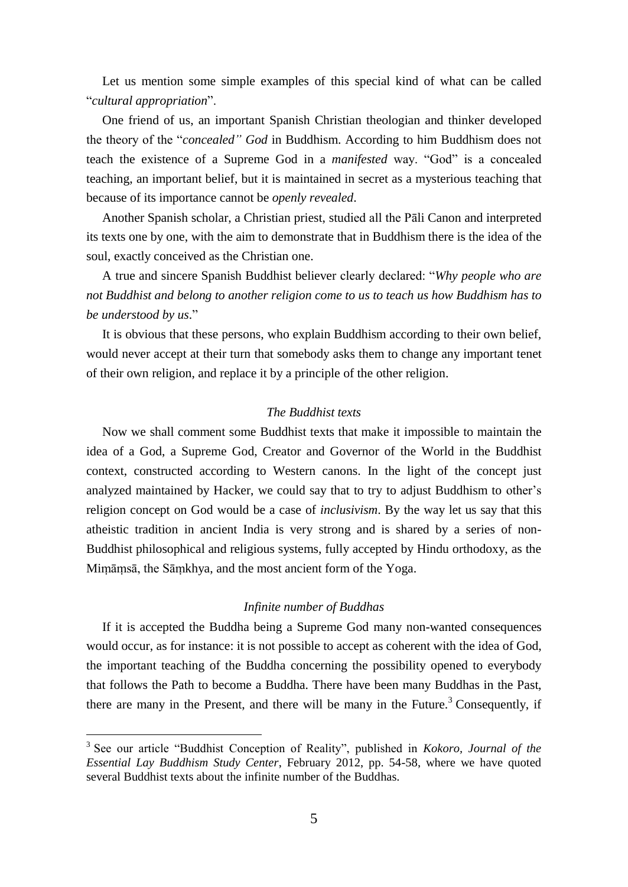Let us mention some simple examples of this special kind of what can be called "*cultural appropriation*".

 One friend of us, an important Spanish Christian theologian and thinker developed the theory of the "*concealed" God* in Buddhism. According to him Buddhism does not teach the existence of a Supreme God in a *manifested* way. "God" is a concealed teaching, an important belief, but it is maintained in secret as a mysterious teaching that because of its importance cannot be *openly revealed*.

 Another Spanish scholar, a Christian priest, studied all the Pāli Canon and interpreted its texts one by one, with the aim to demonstrate that in Buddhism there is the idea of the soul, exactly conceived as the Christian one.

 A true and sincere Spanish Buddhist believer clearly declared: "*Why people who are not Buddhist and belong to another religion come to us to teach us how Buddhism has to be understood by us*."

 It is obvious that these persons, who explain Buddhism according to their own belief, would never accept at their turn that somebody asks them to change any important tenet of their own religion, and replace it by a principle of the other religion.

#### *The Buddhist texts*

 Now we shall comment some Buddhist texts that make it impossible to maintain the idea of a God, a Supreme God, Creator and Governor of the World in the Buddhist context, constructed according to Western canons. In the light of the concept just analyzed maintained by Hacker, we could say that to try to adjust Buddhism to other's religion concept on God would be a case of *inclusivism*. By the way let us say that this atheistic tradition in ancient India is very strong and is shared by a series of non-Buddhist philosophical and religious systems, fully accepted by Hindu orthodoxy, as the Miṃāṃsā, the Sāṃkhya, and the most ancient form of the Yoga.

#### *Infinite number of Buddhas*

 If it is accepted the Buddha being a Supreme God many non-wanted consequences would occur, as for instance: it is not possible to accept as coherent with the idea of God, the important teaching of the Buddha concerning the possibility opened to everybody that follows the Path to become a Buddha. There have been many Buddhas in the Past, there are many in the Present, and there will be many in the Future.<sup>3</sup> Consequently, if

 3 See our article "Buddhist Conception of Reality", published in *Kokoro, Journal of the Essential Lay Buddhism Study Center*, February 2012, pp. 54-58, where we have quoted several Buddhist texts about the infinite number of the Buddhas.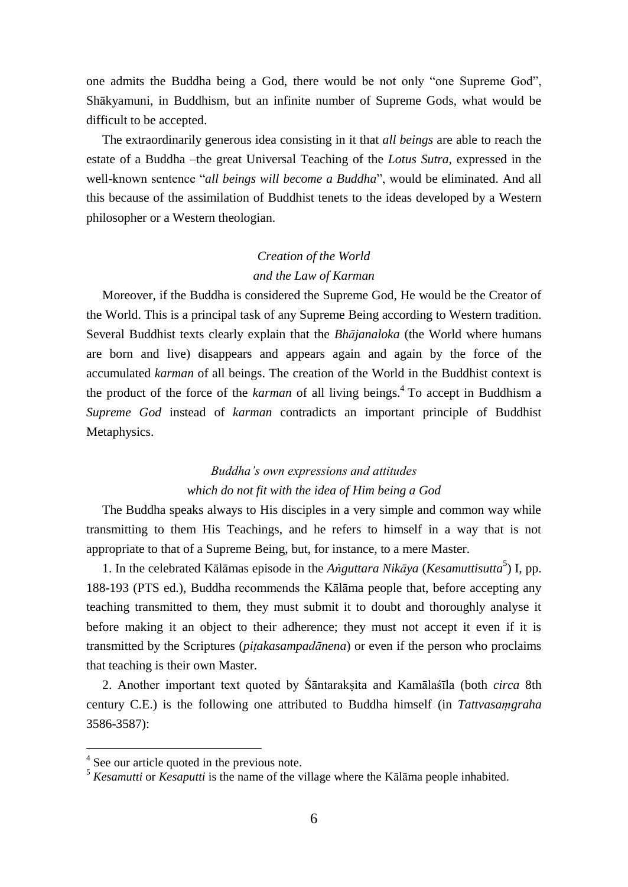one admits the Buddha being a God, there would be not only "one Supreme God", Shākyamuni, in Buddhism, but an infinite number of Supreme Gods, what would be difficult to be accepted.

 The extraordinarily generous idea consisting in it that *all beings* are able to reach the estate of a Buddha –the great Universal Teaching of the *Lotus Sutra*, expressed in the well-known sentence "*all beings will become a Buddha*", would be eliminated. And all this because of the assimilation of Buddhist tenets to the ideas developed by a Western philosopher or a Western theologian.

## *Creation of the World and the Law of Karman*

 Moreover, if the Buddha is considered the Supreme God, He would be the Creator of the World. This is a principal task of any Supreme Being according to Western tradition. Several Buddhist texts clearly explain that the *Bhājanaloka* (the World where humans are born and live) disappears and appears again and again by the force of the accumulated *karman* of all beings. The creation of the World in the Buddhist context is the product of the force of the *karman* of all living beings. 4 To accept in Buddhism a *Supreme God* instead of *karman* contradicts an important principle of Buddhist Metaphysics.

# *Buddha's own expressions and attitudes which do not fit with the idea of Him being a God*

 The Buddha speaks always to His disciples in a very simple and common way while transmitting to them His Teachings, and he refers to himself in a way that is not appropriate to that of a Supreme Being, but, for instance, to a mere Master.

1. In the celebrated Kālāmas episode in the *Aṅguttara Nikāya* (*Kesamuttisutta*<sup>5</sup>) I, pp. 188-193 (PTS ed.), Buddha recommends the Kālāma people that, before accepting any teaching transmitted to them, they must submit it to doubt and thoroughly analyse it before making it an object to their adherence; they must not accept it even if it is transmitted by the Scriptures (*piṭakasampadānena*) or even if the person who proclaims that teaching is their own Master.

 2. Another important text quoted by Śāntarakṣita and Kamālaśīla (both *circa* 8th century C.E.) is the following one attributed to Buddha himself (in *Tattvasaṃgraha* 3586-3587):

<sup>&</sup>lt;sup>4</sup> See our article quoted in the previous note.

<sup>5</sup> *Kesamutti* or *Kesaputti* is the name of the village where the Kālāma people inhabited.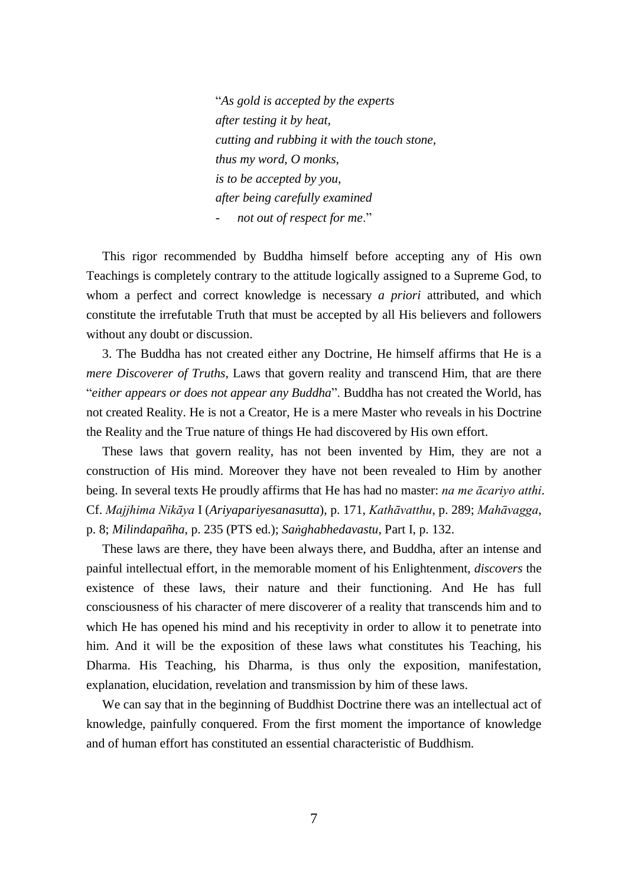"*As gold is accepted by the experts after testing it by heat, cutting and rubbing it with the touch stone, thus my word, O monks, is to be accepted by you, after being carefully examined - not out of respect for me*."

 This rigor recommended by Buddha himself before accepting any of His own Teachings is completely contrary to the attitude logically assigned to a Supreme God, to whom a perfect and correct knowledge is necessary *a priori* attributed, and which constitute the irrefutable Truth that must be accepted by all His believers and followers without any doubt or discussion.

 3. The Buddha has not created either any Doctrine, He himself affirms that He is a *mere Discoverer of Truths*, Laws that govern reality and transcend Him, that are there "*either appears or does not appear any Buddha*". Buddha has not created the World, has not created Reality. He is not a Creator, He is a mere Master who reveals in his Doctrine the Reality and the True nature of things He had discovered by His own effort.

 These laws that govern reality, has not been invented by Him, they are not a construction of His mind. Moreover they have not been revealed to Him by another being. In several texts He proudly affirms that He has had no master: *na me ācariyo atthi*. Cf. *Majjhima Nikāya* I (*Ariyapariyesanasutta*), p. 171, *Kathāvatthu*, p. 289; *Mahāvagga*, p. 8; *Milindapañha*, p. 235 (PTS ed.); *Saṅghabhedavastu*, Part I, p. 132.

 These laws are there, they have been always there, and Buddha, after an intense and painful intellectual effort, in the memorable moment of his Enlightenment, *discovers* the existence of these laws, their nature and their functioning. And He has full consciousness of his character of mere discoverer of a reality that transcends him and to which He has opened his mind and his receptivity in order to allow it to penetrate into him. And it will be the exposition of these laws what constitutes his Teaching, his Dharma. His Teaching, his Dharma, is thus only the exposition, manifestation, explanation, elucidation, revelation and transmission by him of these laws.

 We can say that in the beginning of Buddhist Doctrine there was an intellectual act of knowledge, painfully conquered. From the first moment the importance of knowledge and of human effort has constituted an essential characteristic of Buddhism.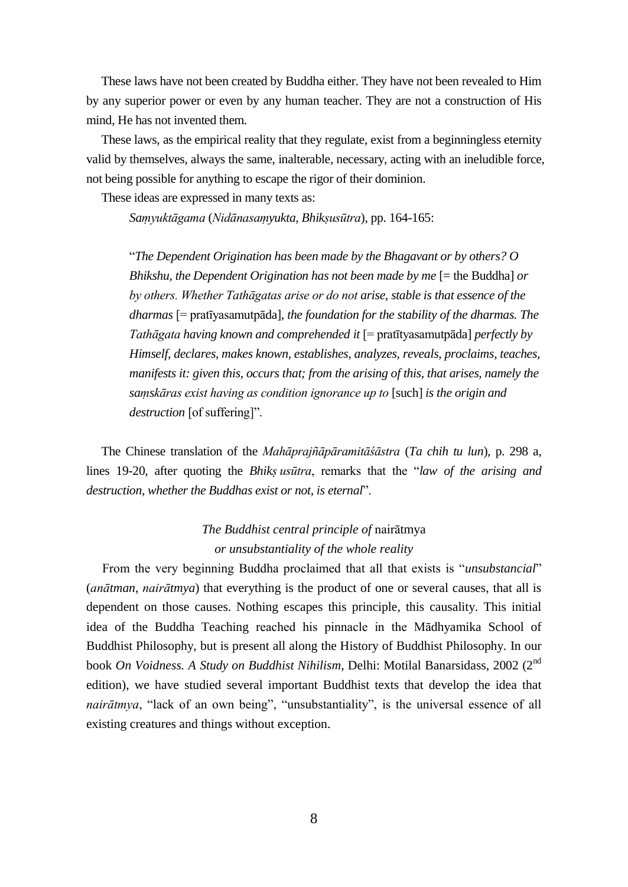These laws have not been created by Buddha either. They have not been revealed to Him by any superior power or even by any human teacher. They are not a construction of His mind, He has not invented them.

 These laws, as the empirical reality that they regulate, exist from a beginningless eternity valid by themselves, always the same, inalterable, necessary, acting with an ineludible force, not being possible for anything to escape the rigor of their dominion.

These ideas are expressed in many texts as:

*Saṃyuktāgama* (*Nidānasaṃyukta, Bhikṣusūtra*), pp. 164-165:

"*The Dependent Origination has been made by the Bhagavant or by others? O Bhikshu, the Dependent Origination has not been made by me* [= the Buddha] *or by others. Whether Tathāgatas arise or do not arise, stable is that essence of the dharmas* [= pratīyasamutpāda]*, the foundation for the stability of the dharmas. The Tathāgata having known and comprehended it* [= pratītyasamutpāda] *perfectly by Himself, declares, makes known, establishes, analyzes, reveals, proclaims, teaches, manifests it: given this, occurs that; from the arising of this, that arises, namely the saṃskāras exist having as condition ignorance up to* [such] *is the origin and destruction* [of suffering]".

 The Chinese translation of the *Mahāprajñāpāramitāśāstra* (*Ta chih tu lun*), p. 298 a, lines 19-20, after quoting the *Bhikṣ usūtra*, remarks that the "*law of the arising and destruction, whether the Buddhas exist or not, is eternal*".

# *The Buddhist central principle of* nairātmya *or unsubstantiality of the whole reality*

 From the very beginning Buddha proclaimed that all that exists is "*unsubstancial*" (*anātman*, *nairātmya*) that everything is the product of one or several causes, that all is dependent on those causes. Nothing escapes this principle, this causality. This initial idea of the Buddha Teaching reached his pinnacle in the Mādhyamika School of Buddhist Philosophy, but is present all along the History of Buddhist Philosophy. In our book *On Voidness. A Study on Buddhist Nihilism*, Delhi: Motilal Banarsidass, 2002 (2nd edition), we have studied several important Buddhist texts that develop the idea that *nairātmya*, "lack of an own being", "unsubstantiality", is the universal essence of all existing creatures and things without exception.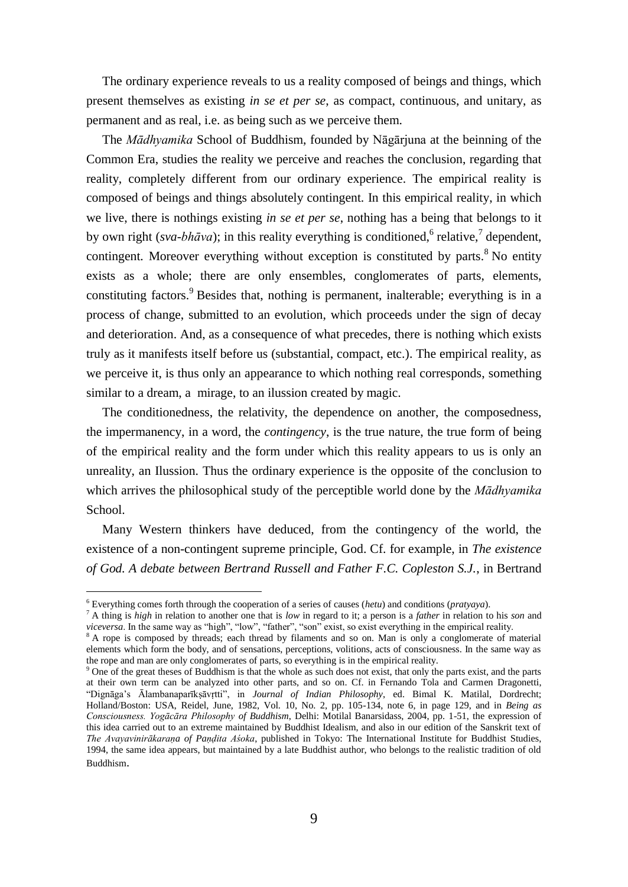The ordinary experience reveals to us a reality composed of beings and things, which present themselves as existing *in se et per se*, as compact, continuous, and unitary, as permanent and as real, i.e. as being such as we perceive them.

 The *Mādhyamika* School of Buddhism, founded by Nāgārjuna at the beinning of the Common Era, studies the reality we perceive and reaches the conclusion, regarding that reality, completely different from our ordinary experience. The empirical reality is composed of beings and things absolutely contingent. In this empirical reality, in which we live, there is nothings existing *in se et per se*, nothing has a being that belongs to it by own right (*sva-bhāva*); in this reality everything is conditioned, <sup>6</sup> relative,<sup>7</sup> dependent, contingent. Moreover everything without exception is constituted by parts.<sup>8</sup> No entity exists as a whole; there are only ensembles, conglomerates of parts, elements, constituting factors.<sup>9</sup> Besides that, nothing is permanent, inalterable; everything is in a process of change, submitted to an evolution, which proceeds under the sign of decay and deterioration. And, as a consequence of what precedes, there is nothing which exists truly as it manifests itself before us (substantial, compact, etc.). The empirical reality, as we perceive it, is thus only an appearance to which nothing real corresponds, something similar to a dream, a mirage, to an ilussion created by magic.

 The conditionedness, the relativity, the dependence on another, the composedness, the impermanency, in a word, the *contingency*, is the true nature, the true form of being of the empirical reality and the form under which this reality appears to us is only an unreality, an Ilussion. Thus the ordinary experience is the opposite of the conclusion to which arrives the philosophical study of the perceptible world done by the *Mādhyamika* School.

 Many Western thinkers have deduced, from the contingency of the world, the existence of a non-contingent supreme principle, God. Cf. for example, in *The existence of God. A debate between Bertrand Russell and Father F.C. Copleston S.J.*, in Bertrand

<sup>6</sup> Everything comes forth through the cooperation of a series of causes (*hetu*) and conditions (*pratyaya*).

<sup>7</sup> A thing is *high* in relation to another one that is *low* in regard to it; a person is a *father* in relation to his *son* and *viceversa*. In the same way as "high", "low", "father", "son" exist, so exist everything in the empirical reality.

<sup>&</sup>lt;sup>8</sup> A rope is composed by threads; each thread by filaments and so on. Man is only a conglomerate of material elements which form the body, and of sensations, perceptions, volitions, acts of consciousness. In the same way as the rope and man are only conglomerates of parts, so everything is in the empirical reality.

<sup>9</sup> One of the great theses of Buddhism is that the whole as such does not exist, that only the parts exist, and the parts at their own term can be analyzed into other parts, and so on. Cf. in Fernando Tola and Carmen Dragonetti, "Dignāga's Ālambanaparīkṣāvṛtti", in *Journal of Indian Philosophy*, ed. Bimal K. Matilal, Dordrecht; Holland/Boston: USA, Reidel, June, 1982, Vol. 10, No. 2, pp. 105-134, note 6, in page 129, and in *Being as Consciousness. Yogācāra Philosophy of Buddhism*, Delhi: Motilal Banarsidass, 2004, pp. 1-51, the expression of this idea carried out to an extreme maintained by Buddhist Idealism, and also in our edition of the Sanskrit text of *The Avayavinirākaraṇa of Paṇḍita Aśoka*, published in Tokyo: The International Institute for Buddhist Studies, 1994, the same idea appears, but maintained by a late Buddhist author, who belongs to the realistic tradition of old Buddhism.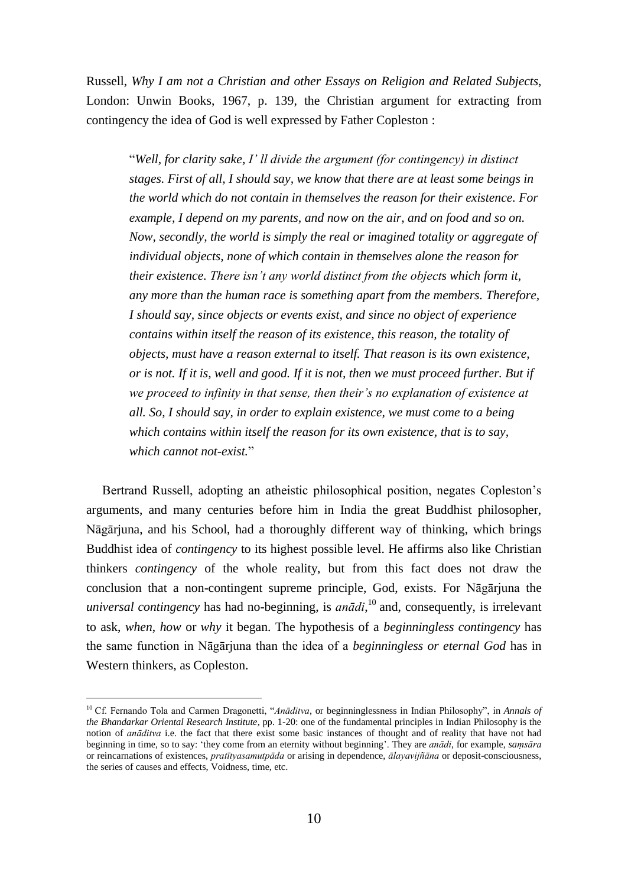Russell, *Why I am not a Christian and other Essays on Religion and Related Subjects*, London: Unwin Books, 1967, p. 139, the Christian argument for extracting from contingency the idea of God is well expressed by Father Copleston :

"*Well, for clarity sake, I' ll divide the argument (for contingency) in distinct stages. First of all, I should say, we know that there are at least some beings in the world which do not contain in themselves the reason for their existence. For example, I depend on my parents, and now on the air, and on food and so on. Now, secondly, the world is simply the real or imagined totality or aggregate of individual objects, none of which contain in themselves alone the reason for their existence. There isn't any world distinct from the objects which form it, any more than the human race is something apart from the members. Therefore, I should say, since objects or events exist, and since no object of experience contains within itself the reason of its existence, this reason, the totality of objects, must have a reason external to itself. That reason is its own existence, or is not. If it is, well and good. If it is not, then we must proceed further. But if we proceed to infinity in that sense, then their's no explanation of existence at all. So, I should say, in order to explain existence, we must come to a being which contains within itself the reason for its own existence, that is to say, which cannot not-exist.*"

 Bertrand Russell, adopting an atheistic philosophical position, negates Copleston's arguments, and many centuries before him in India the great Buddhist philosopher, Nāgārjuna, and his School, had a thoroughly different way of thinking, which brings Buddhist idea of *contingency* to its highest possible level. He affirms also like Christian thinkers *contingency* of the whole reality, but from this fact does not draw the conclusion that a non-contingent supreme principle, God, exists. For Nāgārjuna the *universal contingency* has had no-beginning, is *anādi*, <sup>10</sup> and, consequently, is irrelevant to ask, *when*, *how* or *why* it began. The hypothesis of a *beginningless contingency* has the same function in Nāgārjuna than the idea of a *beginningless or eternal God* has in Western thinkers, as Copleston.

<sup>10</sup> Cf. Fernando Tola and Carmen Dragonetti, "*Anāditva*, or beginninglessness in Indian Philosophy", in *Annals of the Bhandarkar Oriental Research Institute*, pp. 1-20: one of the fundamental principles in Indian Philosophy is the notion of *anāditva* i.e. the fact that there exist some basic instances of thought and of reality that have not had beginning in time, so to say: 'they come from an eternity without beginning'. They are *anādi*, for example, *saṃsāra* or reincarnations of existences, *pratītyasamutpāda* or arising in dependence, *ālayavijñāna* or deposit-consciousness, the series of causes and effects, Voidness, time, etc.